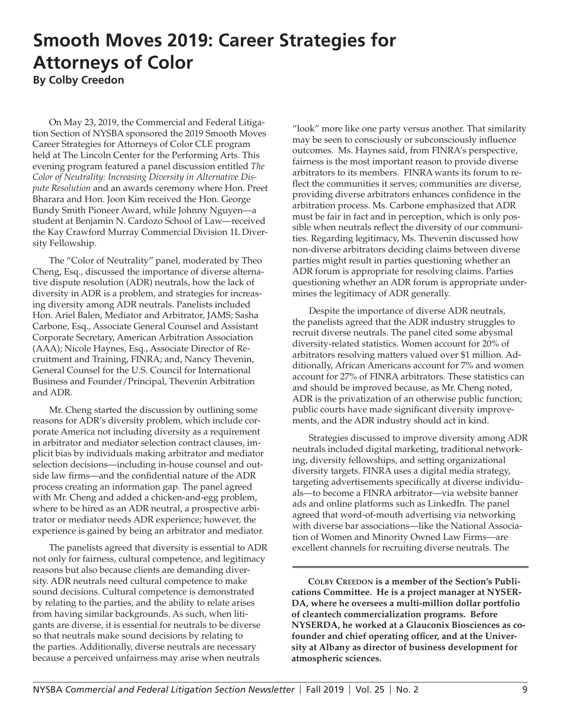## **Smooth Moves 2019: Career Strategies for Attorneys of Color By Colby Creedon**

On May 23, 2019, the Commercial and Federal Litigation Section of NYSBA sponsored the 2019 Smooth Moves Career Strategies for Attorneys of Color CLE program held at The Lincoln Center for the Performing Arts. This evening program featured a panel discussion entitled *The Color of Neutrality: Increasing Diversity in Alternative Dispute Resolution* and an awards ceremony where Hon. Preet Bharara and Hon. Joon Kim received the Hon. George Bundy Smith Pioneer Award, while Johnny Nguyen—a student at Benjamin N. Cardozo School of Law—received the Kay Crawford Murray Commercial Division 1L Diversity Fellowship.

The "Color of Neutrality" panel, moderated by Theo Cheng, Esq., discussed the importance of diverse alternative dispute resolution (ADR) neutrals, how the lack of diversity in ADR is a problem, and strategies for increasing diversity among ADR neutrals. Panelists included Hon. Ariel Balen, Mediator and Arbitrator, JAMS; Sasha Carbone, Esq., Associate General Counsel and Assistant Corporate Secretary, American Arbitration Association (AAA); Nicole Haynes, Esq., Associate Director of Recruitment and Training, FINRA; and, Nancy Thevenin, General Counsel for the U.S. Council for International Business and Founder/Principal, Thevenin Arbitration and ADR.

Mr. Cheng started the discussion by outlining some reasons for ADR's diversity problem, which include corporate America not including diversity as a requirement in arbitrator and mediator selection contract clauses, implicit bias by individuals making arbitrator and mediator selection decisions—including in-house counsel and outside law firms—and the confidential nature of the ADR process creating an information gap. The panel agreed with Mr. Cheng and added a chicken-and-egg problem, where to be hired as an ADR neutral, a prospective arbitrator or mediator needs ADR experience; however, the experience is gained by being an arbitrator and mediator.

The panelists agreed that diversity is essential to ADR not only for fairness, cultural competence, and legitimacy reasons but also because clients are demanding diversity. ADR neutrals need cultural competence to make sound decisions. Cultural competence is demonstrated by relating to the parties, and the ability to relate arises from having similar backgrounds. As such, when litigants are diverse, it is essential for neutrals to be diverse so that neutrals make sound decisions by relating to the parties. Additionally, diverse neutrals are necessary because a perceived unfairness may arise when neutrals

"look" more like one party versus another. That similarity may be seen to consciously or subconsciously influence outcomes. Ms. Haynes said, from FINRA's perspective, fairness is the most important reason to provide diverse arbitrators to its members. FINRA wants its forum to reflect the communities it serves; communities are diverse, providing diverse arbitrators enhances confidence in the arbitration process. Ms. Carbone emphasized that ADR must be fair in fact and in perception, which is only possible when neutrals reflect the diversity of our communities. Regarding legitimacy, Ms. Thevenin discussed how non-diverse arbitrators deciding claims between diverse parties might result in parties questioning whether an ADR forum is appropriate for resolving claims. Parties questioning whether an ADR forum is appropriate undermines the legitimacy of ADR generally.

Despite the importance of diverse ADR neutrals, the panelists agreed that the ADR industry struggles to recruit diverse neutrals. The panel cited some abysmal diversity-related statistics. Women account for 20% of arbitrators resolving matters valued over \$1 million. Additionally, African Americans account for 7% and women account for 27% of FINRA arbitrators. These statistics can and should be improved because, as Mr. Cheng noted, ADR is the privatization of an otherwise public function; public courts have made significant diversity improvements, and the ADR industry should act in kind.

Strategies discussed to improve diversity among ADR neutrals included digital marketing, traditional networking, diversity fellowships, and setting organizational diversity targets. FINRA uses a digital media strategy, targeting advertisements specifically at diverse individuals—to become a FINRA arbitrator—via website banner ads and online platforms such as LinkedIn. The panel agreed that word-of-mouth advertising via networking with diverse bar associations—like the National Association of Women and Minority Owned Law Firms—are excellent channels for recruiting diverse neutrals. The

**Colby Creedon is a member of the Section's Publications Committee. He is a project manager at NYSER-DA, where he oversees a multi-million dollar portfolio of cleantech commercialization programs. Before NYSERDA, he worked at a Glauconix Biosciences as cofounder and chief operating officer, and at the University at Albany as director of business development for atmospheric sciences.**